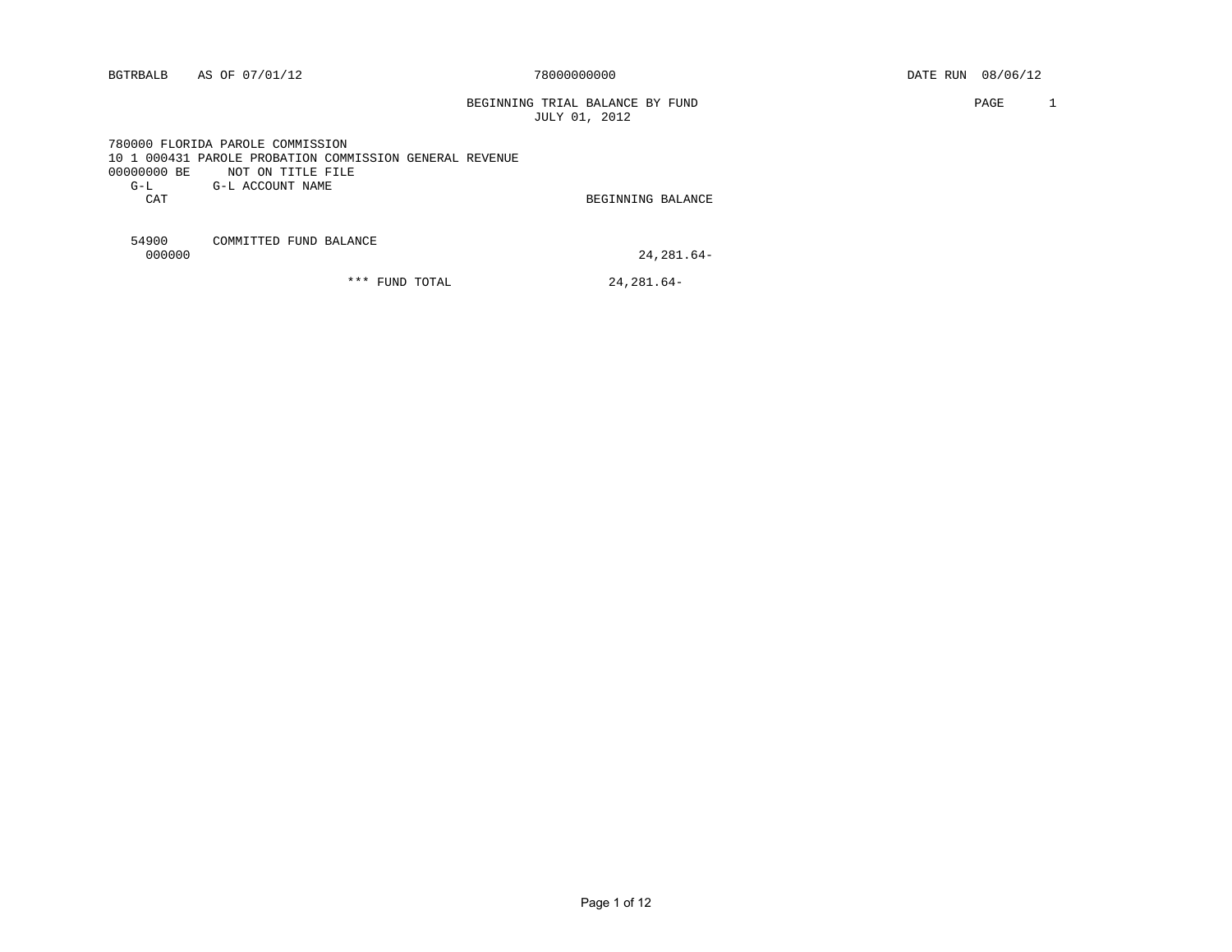BEGINNING TRIAL BALANCE BY FUND **PAGE 1** JULY 01, 2012

 780000 FLORIDA PAROLE COMMISSION 10 1 000431 PAROLE PROBATION COMMISSION GENERAL REVENUE 00000000 BE NOT ON TITLE FILE G-L G-L ACCOUNT NAME CAT BEGINNING BALANCE

54900 COMMITTED FUND BALANCE

24,281.64-

\*\*\* FUND TOTAL 24,281.64-

Page 1 of 12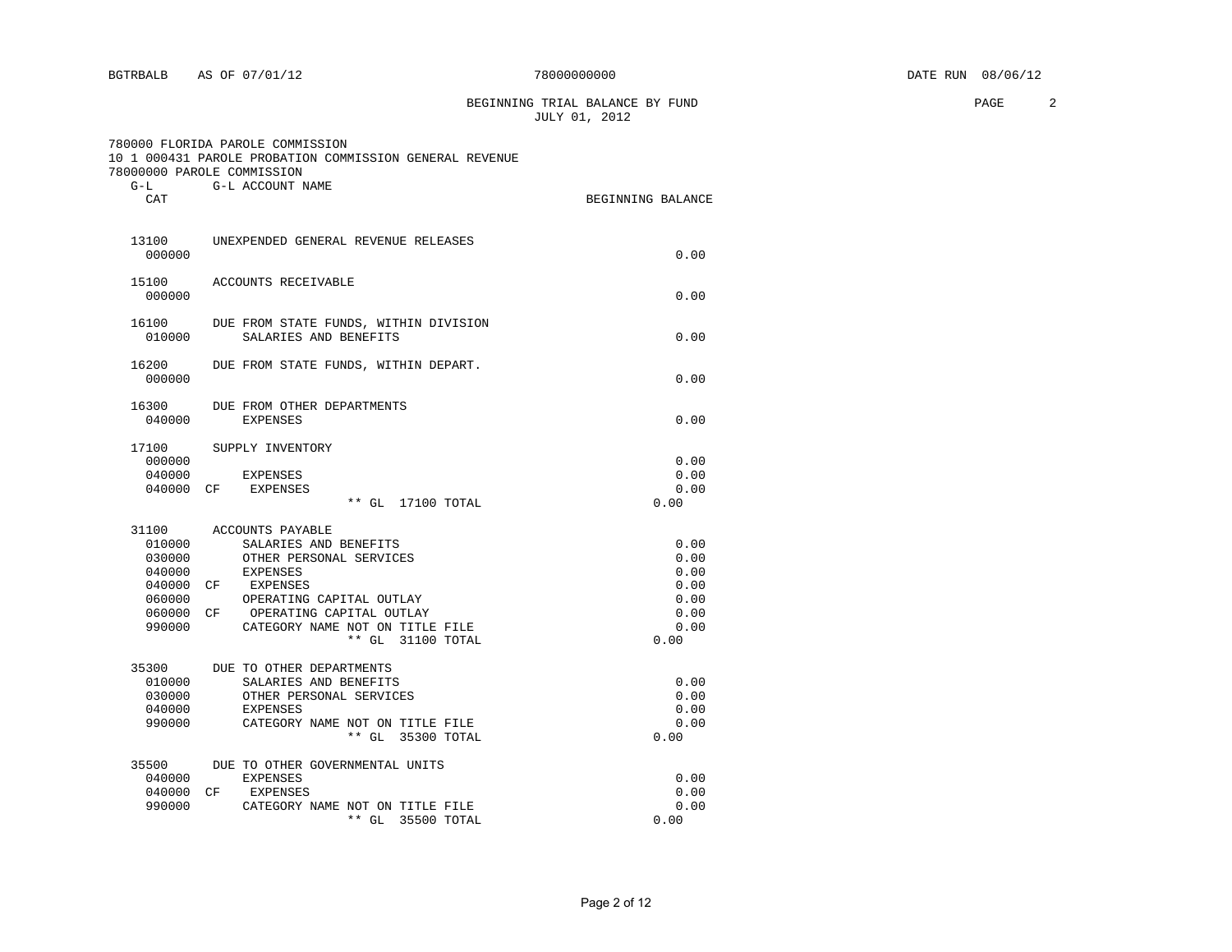BEGINNING TRIAL BALANCE BY FUND **PAGE 2** JULY 01, 2012

 780000 FLORIDA PAROLE COMMISSION 10 1 000431 PAROLE PROBATION COMMISSION GENERAL REVENUE 78000000 PAROLE COMMISSION G-L G-L ACCOUNT NAME

35500 DUE TO OTHER GOVERNMENTAL UNITS

| _∟−نی<br>CAT                                             | G-L ACCOUNI NAME                                                                                                                                                                                                                | BEGINNING BALANCE                                            |
|----------------------------------------------------------|---------------------------------------------------------------------------------------------------------------------------------------------------------------------------------------------------------------------------------|--------------------------------------------------------------|
| 000000                                                   | 13100 UNEXPENDED GENERAL REVENUE RELEASES                                                                                                                                                                                       | 0.00                                                         |
| 000000                                                   | 15100 ACCOUNTS RECEIVABLE                                                                                                                                                                                                       | 0.00                                                         |
| 010000                                                   | 16100 DUE FROM STATE FUNDS, WITHIN DIVISION<br>SALARIES AND BENEFITS                                                                                                                                                            | 0.00                                                         |
| 16200<br>000000                                          | DUE FROM STATE FUNDS, WITHIN DEPART.                                                                                                                                                                                            | 0.00                                                         |
| 040000                                                   | 16300 DUE FROM OTHER DEPARTMENTS<br><b>EXPENSES</b>                                                                                                                                                                             | 0.00                                                         |
| 000000                                                   | 17100 SUPPLY INVENTORY<br>040000 EXPENSES<br>040000 CF EXPENSES<br>** GL 17100 TOTAL                                                                                                                                            | 0.00<br>0.00<br>0.00<br>0.00                                 |
| 010000<br>030000<br>040000<br>040000<br>060000<br>990000 | 31100 ACCOUNTS PAYABLE<br>SALARIES AND BENEFITS<br>OTHER PERSONAL SERVICES<br>EXPENSES<br>CF EXPENSES<br>OPERATING CAPITAL OUTLAY<br>060000 CF OPERATING CAPITAL OUTLAY<br>CATEGORY NAME NOT ON TITLE FILE<br>** GL 31100 TOTAL | 0.00<br>0.00<br>0.00<br>0.00<br>0.00<br>0.00<br>0.00<br>0.00 |
| 35300                                                    | DUE TO OTHER DEPARTMENTS                                                                                                                                                                                                        |                                                              |

 010000 SALARIES AND BENEFITS 0.00 030000 OTHER PERSONAL SERVICES 0.00<br>040000 EXPENSES 0.00 040000 EXPENSES 0.00 990000 CATEGORY NAME NOT ON TITLE FILE 0.00

040000 EXPENSES 0.00<br>040000 CF EXPENSES 0.00 040000 CF EXPENSES 0.00<br>
990000 CATEGORY NAME NOT ON TITLE FILE 0 00000 0.00 990000 CATEGORY NAME NOT ON TITLE FILE **11.** 0.00  $**$  GL 35500 TOTAL

\*\* GL 35300 TOTAL 0.00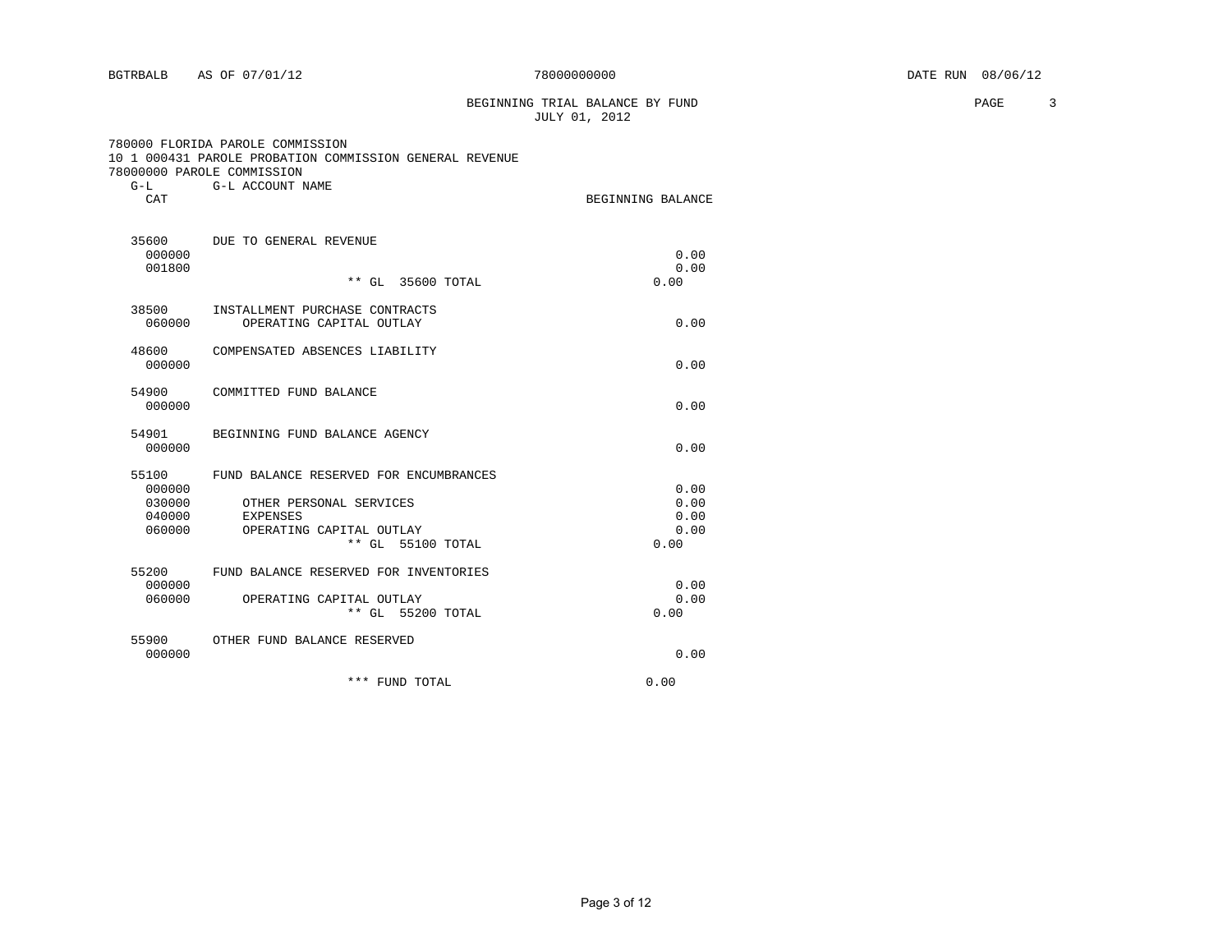BEGINNING TRIAL BALANCE BY FUND **PAGE** 3 JULY 01, 2012

|       | 780000 FLORIDA PAROLE COMMISSION                        |                  |  |  |
|-------|---------------------------------------------------------|------------------|--|--|
|       | 10 1 000431 PAROLE PROBATION COMMISSION GENERAL REVENUE |                  |  |  |
|       | 78000000 PAROLE COMMISSION                              |                  |  |  |
| $G-T$ |                                                         | G-L ACCOUNT NAME |  |  |

| CAT                       |                                                            | BEGINNING BALANCE |
|---------------------------|------------------------------------------------------------|-------------------|
| 35600<br>000000<br>001800 | DUE TO GENERAL REVENUE                                     | 0.00<br>0.00      |
|                           | ** GL 35600 TOTAL                                          | 0.00              |
| 38500<br>060000           | INSTALLMENT PURCHASE CONTRACTS<br>OPERATING CAPITAL OUTLAY | 0.00              |
| 48600<br>000000           | COMPENSATED ABSENCES LIABILITY                             | 0.00              |
| 54900<br>000000           | COMMITTED FUND BALANCE                                     | 0.00              |
| 54901<br>000000           | BEGINNING FUND BALANCE AGENCY                              | 0.00              |
| 55100                     | FUND BALANCE RESERVED FOR ENCUMBRANCES                     |                   |
| 000000                    |                                                            | 0.00              |
| 030000<br>040000          | OTHER PERSONAL SERVICES<br><b>EXPENSES</b>                 | 0.00<br>0.00      |
| 060000                    | OPERATING CAPITAL OUTLAY                                   | 0.00              |
|                           | ** GL 55100 TOTAL                                          | 0.00              |
| 55200                     | FUND BALANCE RESERVED FOR INVENTORIES                      |                   |
| 000000                    |                                                            | 0.00              |
| 060000                    | OPERATING CAPITAL OUTLAY<br>** GL 55200 TOTAL              | 0.00<br>0.00      |
| 55900                     | OTHER FUND BALANCE RESERVED                                |                   |
| 000000                    |                                                            | 0.00              |

|  | *** FUND TOTAL | 0.00 |
|--|----------------|------|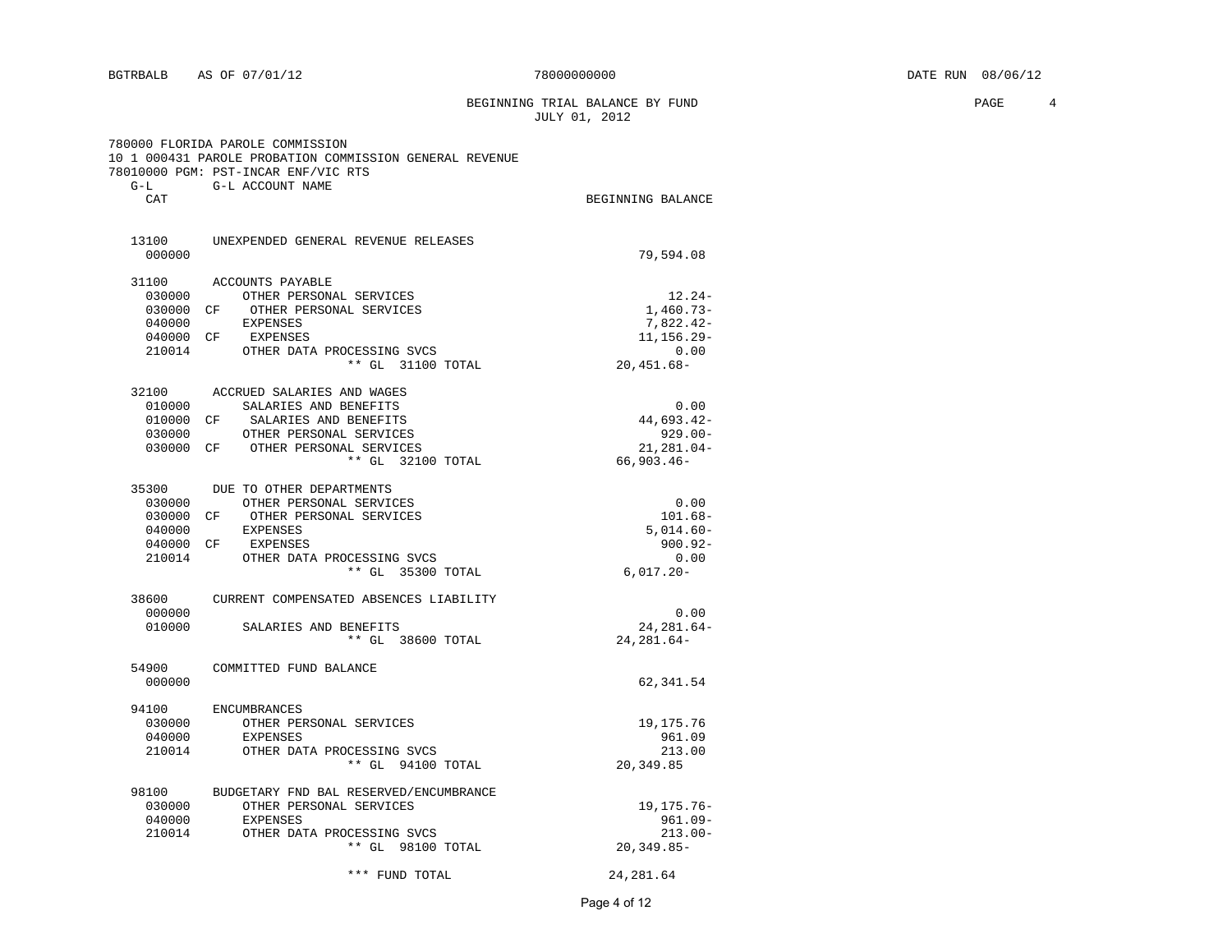BEGINNING TRIAL BALANCE BY FUND **PAGE** 4 JULY 01, 2012

| $G-L$                                                         | 780000 FLORIDA PAROLE COMMISSION<br>10 1 000431 PAROLE PROBATION COMMISSION GENERAL REVENUE<br>78010000 PGM: PST-INCAR ENF/VIC RTS<br>G-L ACCOUNT NAME            |                                                                               |
|---------------------------------------------------------------|-------------------------------------------------------------------------------------------------------------------------------------------------------------------|-------------------------------------------------------------------------------|
| CAT                                                           |                                                                                                                                                                   | BEGINNING BALANCE                                                             |
| 000000                                                        | 13100 UNEXPENDED GENERAL REVENUE RELEASES                                                                                                                         | 79,594.08                                                                     |
| 31100<br>030000<br>030000 CF<br>040000<br>040000 CF<br>210014 | ACCOUNTS PAYABLE<br>OTHER PERSONAL SERVICES<br>OTHER PERSONAL SERVICES<br>EXPENSES<br>EXPENSES<br>OTHER DATA PROCESSING SVCS<br>** GL 31100 TOTAL                 | $12.24-$<br>$1,460.73-$<br>$7,822.42-$<br>11, 156.29-<br>0.00<br>$20,451.68-$ |
| 32100<br>010000<br>010000 CF<br>030000                        | ACCRUED SALARIES AND WAGES<br>SALARIES AND BENEFITS<br>SALARIES AND BENEFITS<br>OTHER PERSONAL SERVICES<br>030000 CF OTHER PERSONAL SERVICES<br>** GL 32100 TOTAL | 0.00<br>44,693.42-<br>$929.00 -$<br>21, 281.04-<br>$66,903.46 -$              |
| 35300<br>030000<br>030000 CF<br>040000<br>040000 CF<br>210014 | DUE TO OTHER DEPARTMENTS<br>OTHER PERSONAL SERVICES<br>OTHER PERSONAL SERVICES<br><b>EXPENSES</b><br>EXPENSES<br>OTHER DATA PROCESSING SVCS<br>** GL 35300 TOTAL  | 0.00<br>$101.68 -$<br>$5,014.60-$<br>$900.92 -$<br>0.00<br>$6,017.20 -$       |
| 38600<br>000000<br>010000                                     | CURRENT COMPENSATED ABSENCES LIABILITY<br>SALARIES AND BENEFITS<br>** GL 38600 TOTAL                                                                              | 0.00<br>24, 281.64-<br>$24, 281.64 -$                                         |
| 54900<br>000000                                               | COMMITTED FUND BALANCE                                                                                                                                            | 62,341.54                                                                     |
| 94100<br>030000<br>040000<br>210014                           | <b>ENCUMBRANCES</b><br>OTHER PERSONAL SERVICES<br>EXPENSES<br>OTHER DATA PROCESSING SVCS<br>** GL 94100 TOTAL                                                     | 19, 175. 76<br>961.09<br>213.00<br>20,349.85                                  |
| 98100<br>030000<br>040000<br>210014                           | BUDGETARY FND BAL RESERVED/ENCUMBRANCE<br>OTHER PERSONAL SERVICES<br><b>EXPENSES</b><br>OTHER DATA PROCESSING SVCS<br>** GL 98100 TOTAL                           | 19, 175. 76 -<br>$961.09 -$<br>$213.00 -$<br>$20, 349.85 -$                   |
|                                                               | *** FUND TOTAL                                                                                                                                                    | 24, 281.64                                                                    |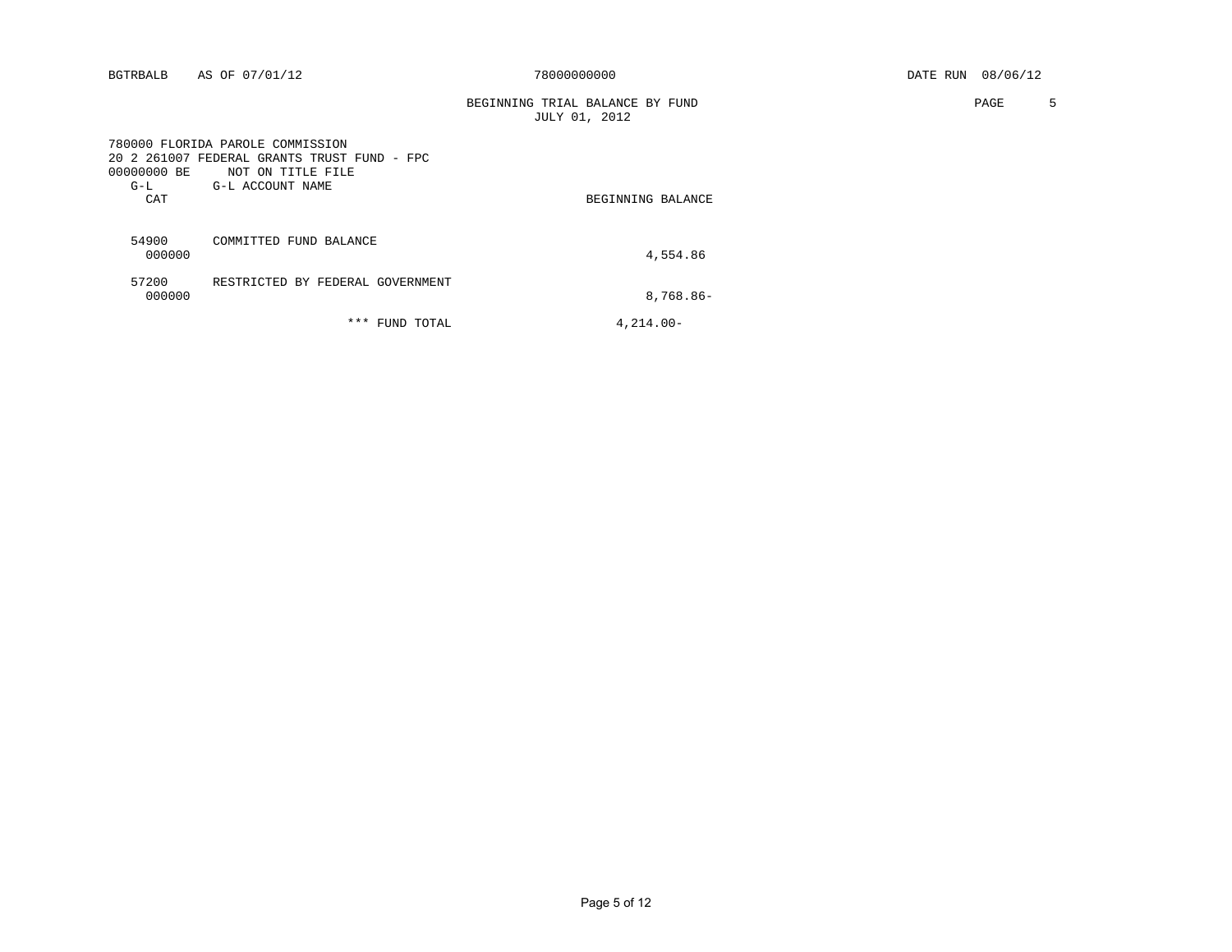| BGTRBALB |  | AS OF 07/01/12 |
|----------|--|----------------|
|          |  |                |

BEGINNING TRIAL BALANCE BY FUND **PAGE** 5 JULY 01, 2012

| 00000000 BE<br>$G-L$<br>CAT | 780000 FLORIDA PAROLE COMMISSION<br>20 2 261007 FEDERAL GRANTS TRUST FUND - FPC<br>NOT ON TITLE FILE<br>G-L ACCOUNT NAME | BEGINNING BALANCE |
|-----------------------------|--------------------------------------------------------------------------------------------------------------------------|-------------------|
| 54900<br>000000             | COMMITTED FUND BALANCE                                                                                                   | 4,554.86          |
| 57200<br>000000             | RESTRICTED BY FEDERAL GOVERNMENT                                                                                         | 8,768.86-         |
|                             | ***<br>TOTAL<br>FUND                                                                                                     | $4.214.00 -$      |

Page 5 of 12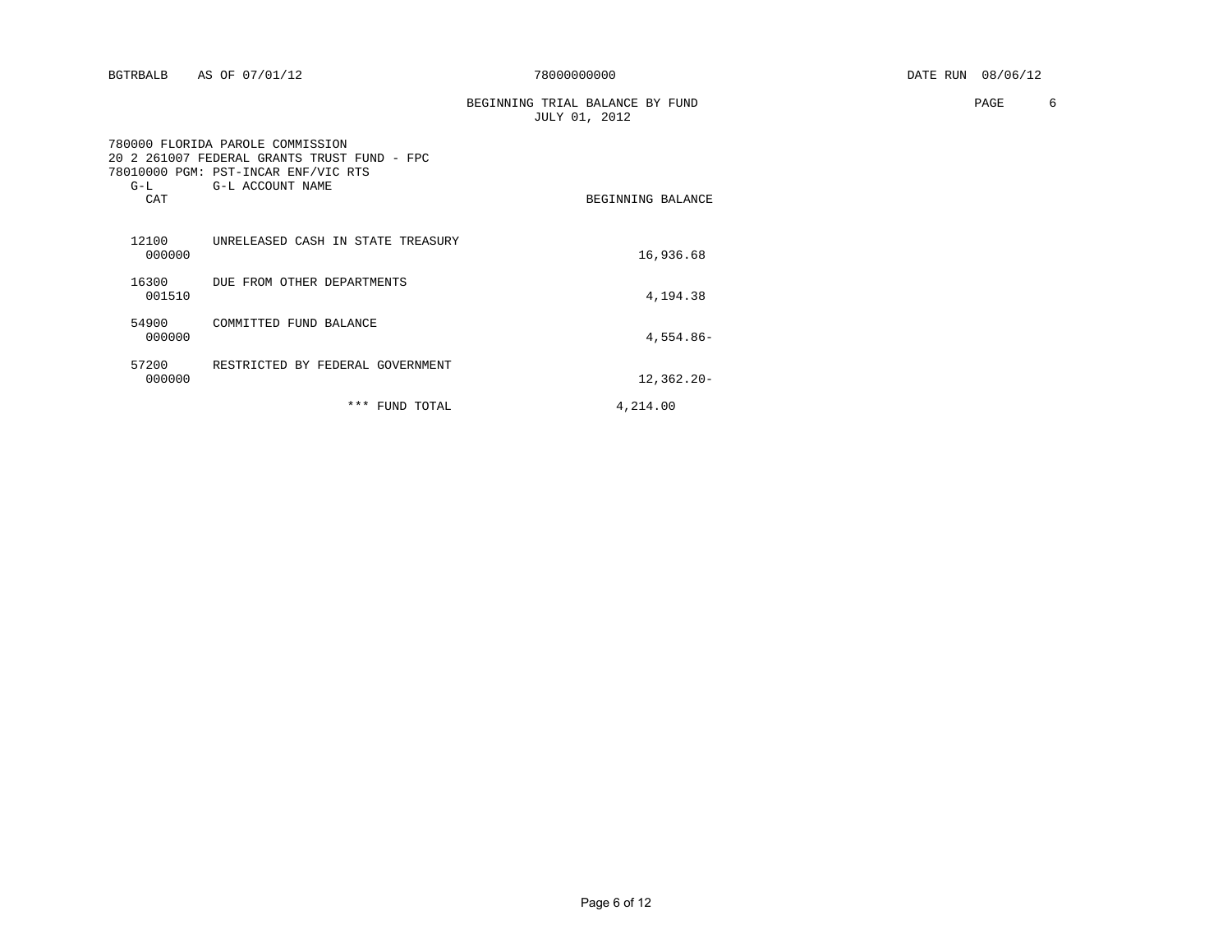| BGTRBALB |  | AS OF 07/01/12 |
|----------|--|----------------|
|          |  |                |

| TRIAL BALANCE BY FUND<br>BEGINNING | PAGE |  |
|------------------------------------|------|--|
| 2012<br>JULY                       |      |  |

| $20^{\circ}$<br>$G-L$<br>CAT | 780000 FLORIDA PAROLE COMMISSION<br>2 261007 FEDERAL GRANTS TRUST FUND - FPC<br>78010000 PGM: PST-INCAR ENF/VIC RTS<br>G-L ACCOUNT NAME | BEGINNING BALANCE |
|------------------------------|-----------------------------------------------------------------------------------------------------------------------------------------|-------------------|
| 12100<br>000000              | UNRELEASED CASH IN STATE TREASURY                                                                                                       | 16,936.68         |
| 16300<br>001510              | DUE FROM OTHER DEPARTMENTS                                                                                                              | 4,194.38          |
| 54900<br>000000              | COMMITTED FUND BALANCE                                                                                                                  | $4,554.86-$       |
| 57200<br>000000              | RESTRICTED BY FEDERAL GOVERNMENT                                                                                                        | $12,362.20 -$     |
|                              | ***<br>FUND TOTAL                                                                                                                       | 4,214.00          |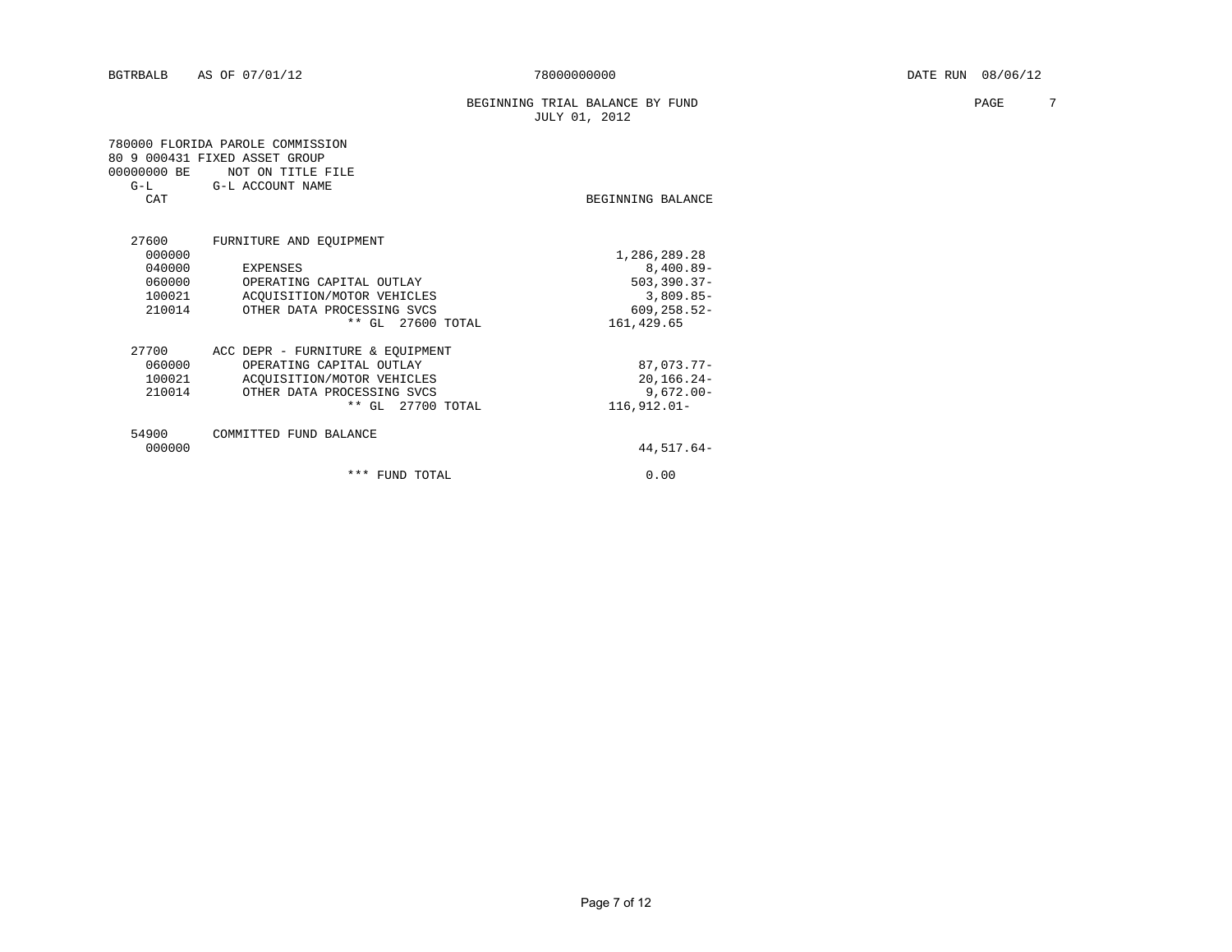BEGINNING TRIAL BALANCE BY FUND **PAGE** 7 JULY 01, 2012

| 00000000 BE | 780000 FLORIDA PAROLE COMMISSION<br>80 9 000431 FIXED ASSET GROUP<br>NOT ON TITLE FILE |                            |
|-------------|----------------------------------------------------------------------------------------|----------------------------|
| CAT         | G-L G-L ACCOUNT NAME                                                                   | BEGINNING BALANCE          |
| 27600       | FURNITURE AND EQUIPMENT                                                                |                            |
| 000000      |                                                                                        | 1,286,289.28               |
| 040000      | <b>EXPENSES</b>                                                                        | $8,400.89-$                |
| 060000      | OPERATING CAPITAL OUTLAY                                                               | $503, 390.37 -$            |
| 100021      | ACOUISITION/MOTOR VEHICLES                                                             | $3,809.85-$                |
| 210014      | OTHER DATA PROCESSING SVCS<br>** GL 27600 TOTAL                                        | 609, 258.52-<br>161,429.65 |
| 27700       | ACC DEPR - FURNITURE & EQUIPMENT                                                       |                            |
| 060000      | OPERATING CAPITAL OUTLAY                                                               | 87,073.77-                 |
| 100021      | ACOUISITION/MOTOR VEHICLES                                                             | $20, 166.24 -$             |
| 210014      | OTHER DATA PROCESSING SVCS                                                             | $9,672.00 -$               |
|             | ** GL 27700 TOTAL                                                                      | $116,912.01-$              |
| 54900       | COMMITTED FUND BALANCE                                                                 |                            |
| 000000      |                                                                                        | 44,517.64-                 |
|             | *** FUND TOTAL                                                                         | 0.00                       |
|             |                                                                                        |                            |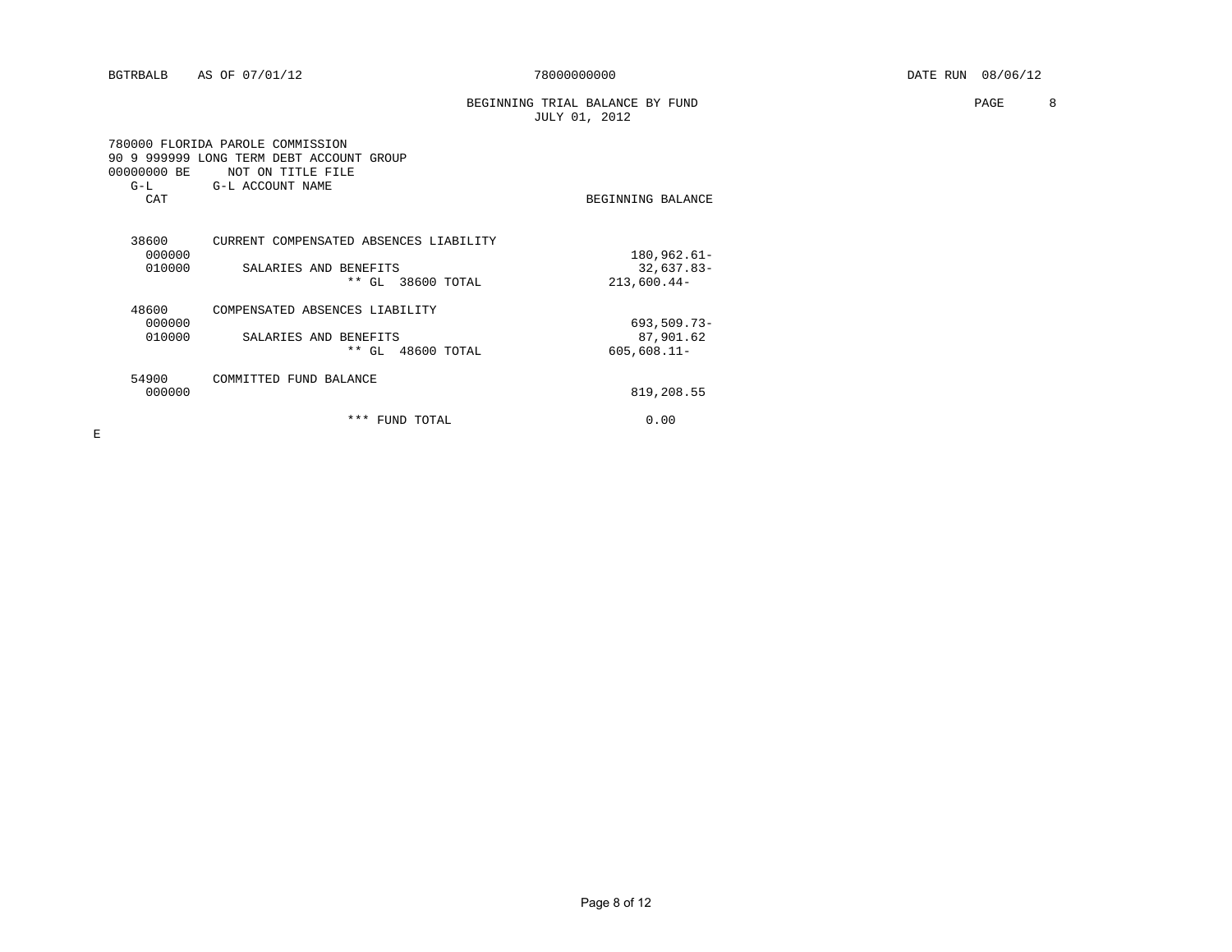BEGINNING TRIAL BALANCE BY FUND **PAGE 88** JULY 01, 2012

|               | 780000 FLORIDA PAROLE COMMISSION<br>90 9 999999 LONG TERM DEBT ACCOUNT GROUP |                   |
|---------------|------------------------------------------------------------------------------|-------------------|
| 00000000 BE   | NOT ON TITLE FILE                                                            |                   |
| $G-L$         | G-L ACCOUNT NAME                                                             |                   |
| CAT           |                                                                              | BEGINNING BALANCE |
| 38600         | CURRENT COMPENSATED ABSENCES LIABILITY                                       |                   |
| 000000        |                                                                              | $180,962.61-$     |
| 010000        | SALARIES AND BENEFITS                                                        | $32,637.83-$      |
|               | ** GL 38600 TOTAL                                                            | $213,600.44-$     |
| 48600         | COMPENSATED ABSENCES LIABILITY                                               |                   |
| 000000        |                                                                              | $693,509.73-$     |
| 010000        | SALARIES AND BENEFITS                                                        | 87,901.62         |
|               | ** GL 48600 TOTAL                                                            | $605,608.11 -$    |
| 54900         | COMMITTED FUND BALANCE                                                       |                   |
| 000000        |                                                                              | 819,208.55        |
|               | ***<br>FUND TOTAL                                                            | 0.00              |
| $T_{\rm eff}$ |                                                                              |                   |

E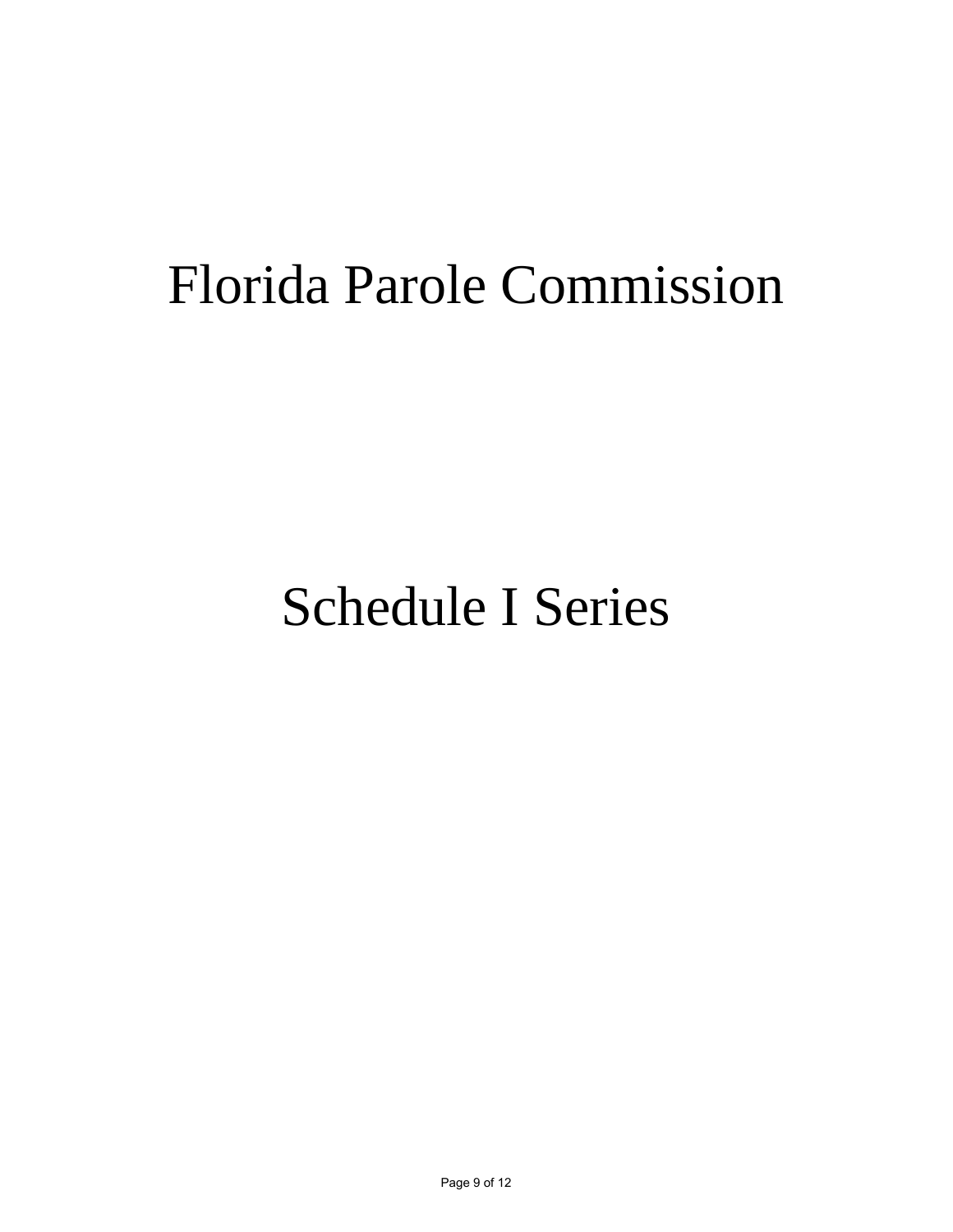# Florida Parole Commission

# Schedule I Series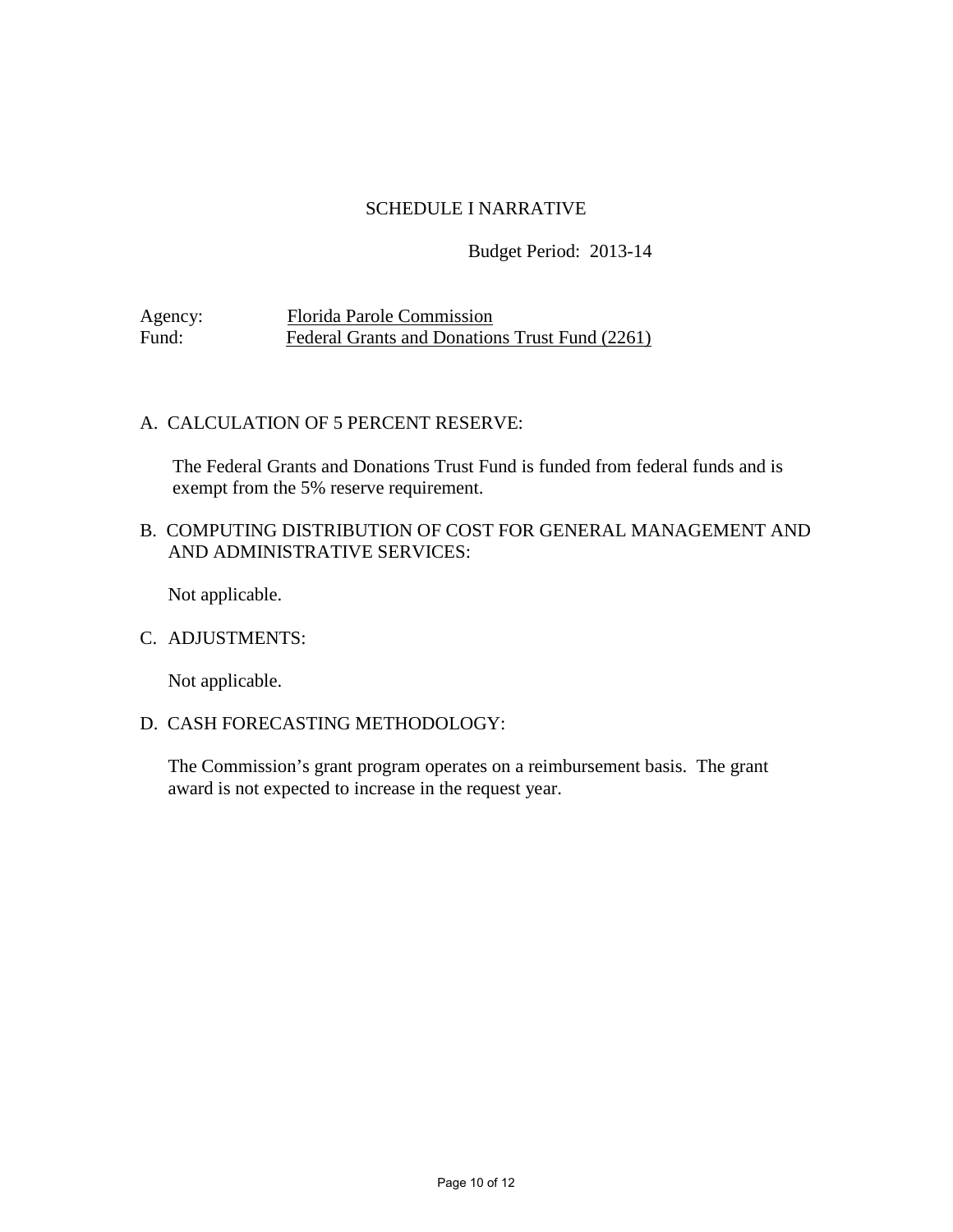## SCHEDULE I NARRATIVE

#### Budget Period: 2013-14

Agency: Florida Parole Commission<br>Fund: Federal Grants and Donation Federal Grants and Donations Trust Fund (2261)

### A. CALCULATION OF 5 PERCENT RESERVE:

The Federal Grants and Donations Trust Fund is funded from federal funds and is exempt from the 5% reserve requirement.

### B. COMPUTING DISTRIBUTION OF COST FOR GENERAL MANAGEMENT AND AND ADMINISTRATIVE SERVICES:

Not applicable.

#### C. ADJUSTMENTS:

Not applicable.

#### D. CASH FORECASTING METHODOLOGY:

The Commission's grant program operates on a reimbursement basis. The grant award is not expected to increase in the request year.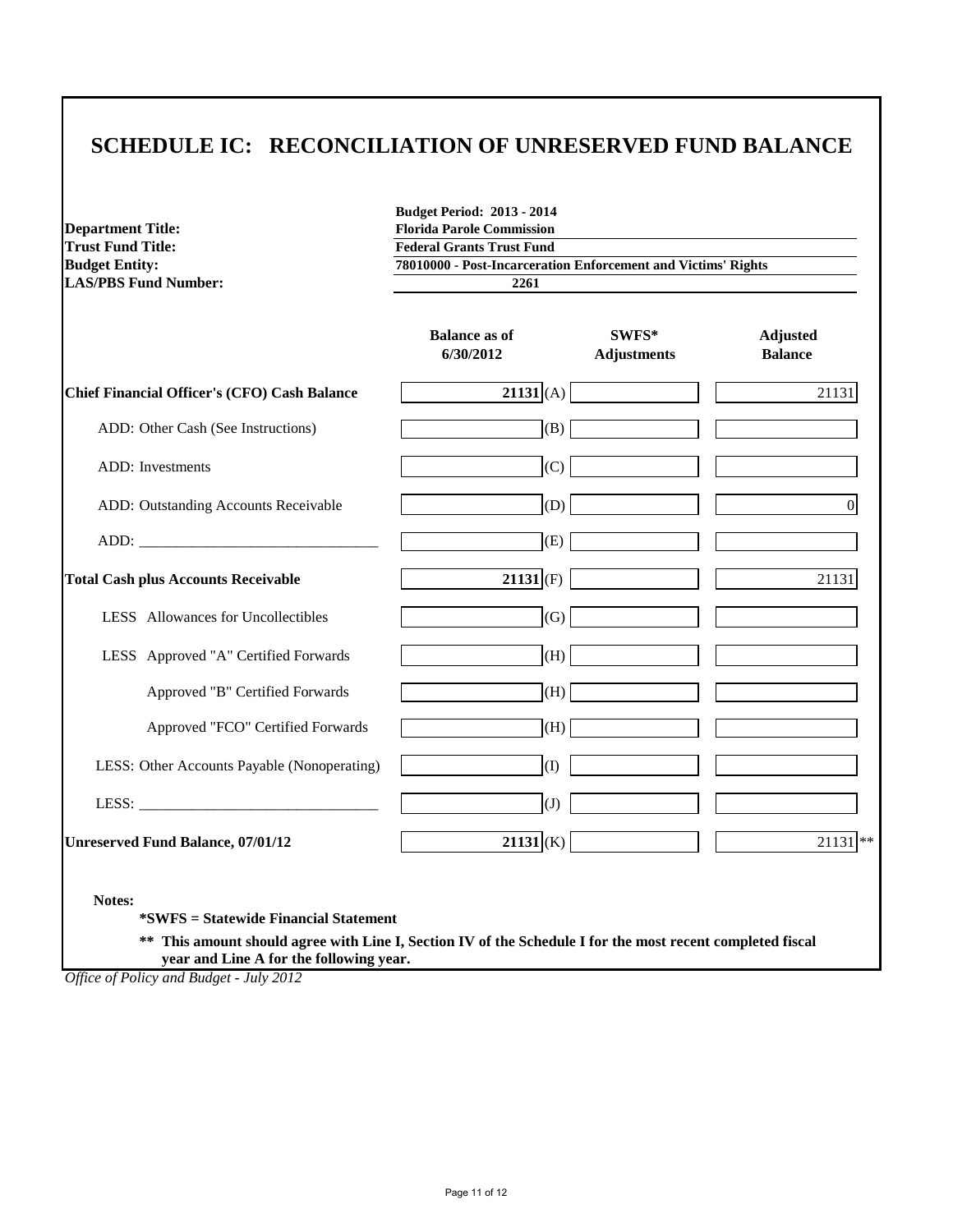## **SCHEDULE IC: RECONCILIATION OF UNRESERVED FUND BALANCE**

| <b>Department Title:</b><br><b>Trust Fund Title:</b>                                                                                                                 | <b>Budget Period: 2013 - 2014</b><br><b>Florida Parole Commission</b><br><b>Federal Grants Trust Fund</b><br>78010000 - Post-Incarceration Enforcement and Victims' Rights<br>2261 |                             |                                   |
|----------------------------------------------------------------------------------------------------------------------------------------------------------------------|------------------------------------------------------------------------------------------------------------------------------------------------------------------------------------|-----------------------------|-----------------------------------|
| <b>Budget Entity:</b><br><b>LAS/PBS Fund Number:</b>                                                                                                                 |                                                                                                                                                                                    |                             |                                   |
|                                                                                                                                                                      |                                                                                                                                                                                    |                             |                                   |
|                                                                                                                                                                      | <b>Balance as of</b><br>6/30/2012                                                                                                                                                  | SWFS*<br><b>Adjustments</b> | <b>Adjusted</b><br><b>Balance</b> |
| <b>Chief Financial Officer's (CFO) Cash Balance</b>                                                                                                                  | $21131$ (A)                                                                                                                                                                        |                             | 21131                             |
| ADD: Other Cash (See Instructions)                                                                                                                                   | (B)                                                                                                                                                                                |                             |                                   |
| <b>ADD</b> : Investments                                                                                                                                             | (C)                                                                                                                                                                                |                             |                                   |
| ADD: Outstanding Accounts Receivable                                                                                                                                 | (D)                                                                                                                                                                                |                             | $\overline{0}$                    |
| ADD:                                                                                                                                                                 | (E)                                                                                                                                                                                |                             |                                   |
| <b>Total Cash plus Accounts Receivable</b>                                                                                                                           | $21131$ (F)                                                                                                                                                                        |                             | 21131                             |
| LESS Allowances for Uncollectibles                                                                                                                                   | (G)                                                                                                                                                                                |                             |                                   |
| LESS Approved "A" Certified Forwards                                                                                                                                 | (H)                                                                                                                                                                                |                             |                                   |
| Approved "B" Certified Forwards                                                                                                                                      | (H)                                                                                                                                                                                |                             |                                   |
| Approved "FCO" Certified Forwards                                                                                                                                    | (H)                                                                                                                                                                                |                             |                                   |
| LESS: Other Accounts Payable (Nonoperating)                                                                                                                          | (I)                                                                                                                                                                                |                             |                                   |
|                                                                                                                                                                      | $\left( J\right)$                                                                                                                                                                  |                             |                                   |
| <b>Unreserved Fund Balance, 07/01/12</b>                                                                                                                             | $21131 K\rangle$                                                                                                                                                                   |                             | $21131$ **                        |
| Notes:<br><i>*SWFS</i> = Statewide Financial Statement<br>** This amount should agree with Line I, Section IV of the Schedule I for the most recent completed fiscal |                                                                                                                                                                                    |                             |                                   |

 **year and Line A for the following year.**

*Office of Policy and Budget - July 2012*